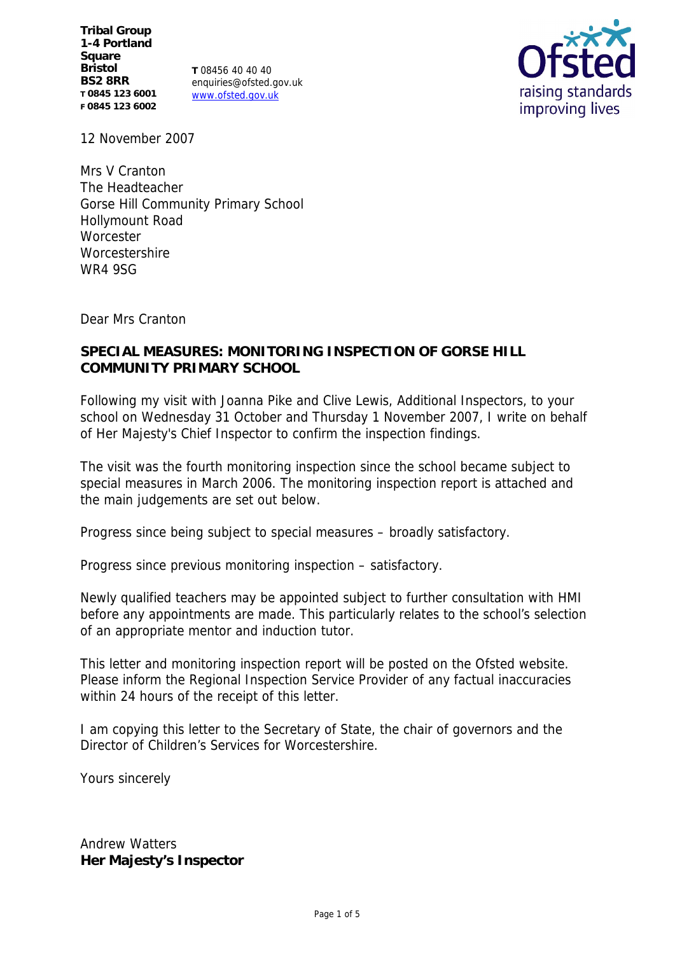**Tribal Group 1-4 Portland Square Bristol BS2 8RR T 0845 123 6001 F 0845 123 6002**

**T** 08456 40 40 40 enquiries@ofsted.gov.uk www.ofsted.gov.uk



12 November 2007

Mrs V Cranton The Headteacher Gorse Hill Community Primary School Hollymount Road **Worcester** Worcestershire WR4 9SG

Dear Mrs Cranton

## **SPECIAL MEASURES: MONITORING INSPECTION OF GORSE HILL COMMUNITY PRIMARY SCHOOL**

Following my visit with Joanna Pike and Clive Lewis, Additional Inspectors, to your school on Wednesday 31 October and Thursday 1 November 2007, I write on behalf of Her Majesty's Chief Inspector to confirm the inspection findings.

The visit was the fourth monitoring inspection since the school became subject to special measures in March 2006. The monitoring inspection report is attached and the main judgements are set out below.

Progress since being subject to special measures – broadly satisfactory.

Progress since previous monitoring inspection – satisfactory.

Newly qualified teachers may be appointed subject to further consultation with HMI before any appointments are made. This particularly relates to the school's selection of an appropriate mentor and induction tutor.

This letter and monitoring inspection report will be posted on the Ofsted website. Please inform the Regional Inspection Service Provider of any factual inaccuracies within 24 hours of the receipt of this letter.

I am copying this letter to the Secretary of State, the chair of governors and the Director of Children's Services for Worcestershire.

Yours sincerely

Andrew Watters **Her Majesty's Inspector**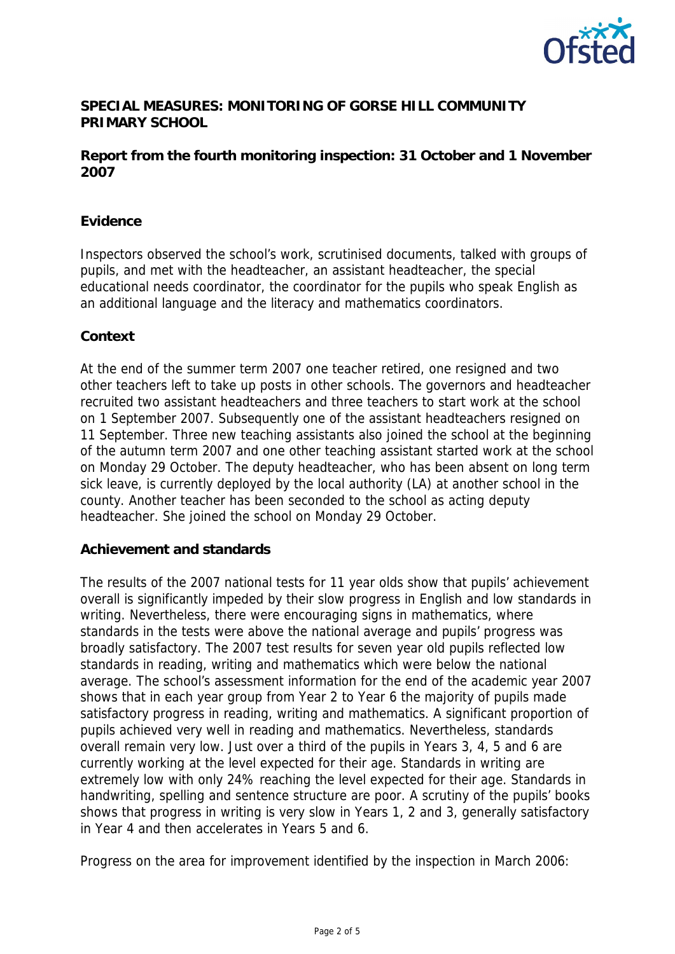

# **SPECIAL MEASURES: MONITORING OF GORSE HILL COMMUNITY PRIMARY SCHOOL**

## **Report from the fourth monitoring inspection: 31 October and 1 November 2007**

## **Evidence**

Inspectors observed the school's work, scrutinised documents, talked with groups of pupils, and met with the headteacher, an assistant headteacher, the special educational needs coordinator, the coordinator for the pupils who speak English as an additional language and the literacy and mathematics coordinators.

#### **Context**

At the end of the summer term 2007 one teacher retired, one resigned and two other teachers left to take up posts in other schools. The governors and headteacher recruited two assistant headteachers and three teachers to start work at the school on 1 September 2007. Subsequently one of the assistant headteachers resigned on 11 September. Three new teaching assistants also joined the school at the beginning of the autumn term 2007 and one other teaching assistant started work at the school on Monday 29 October. The deputy headteacher, who has been absent on long term sick leave, is currently deployed by the local authority (LA) at another school in the county. Another teacher has been seconded to the school as acting deputy headteacher. She joined the school on Monday 29 October.

#### **Achievement and standards**

The results of the 2007 national tests for 11 year olds show that pupils' achievement overall is significantly impeded by their slow progress in English and low standards in writing. Nevertheless, there were encouraging signs in mathematics, where standards in the tests were above the national average and pupils' progress was broadly satisfactory. The 2007 test results for seven year old pupils reflected low standards in reading, writing and mathematics which were below the national average. The school's assessment information for the end of the academic year 2007 shows that in each year group from Year 2 to Year 6 the majority of pupils made satisfactory progress in reading, writing and mathematics. A significant proportion of pupils achieved very well in reading and mathematics. Nevertheless, standards overall remain very low. Just over a third of the pupils in Years 3, 4, 5 and 6 are currently working at the level expected for their age. Standards in writing are extremely low with only 24% reaching the level expected for their age. Standards in handwriting, spelling and sentence structure are poor. A scrutiny of the pupils' books shows that progress in writing is very slow in Years 1, 2 and 3, generally satisfactory in Year 4 and then accelerates in Years 5 and 6.

Progress on the area for improvement identified by the inspection in March 2006: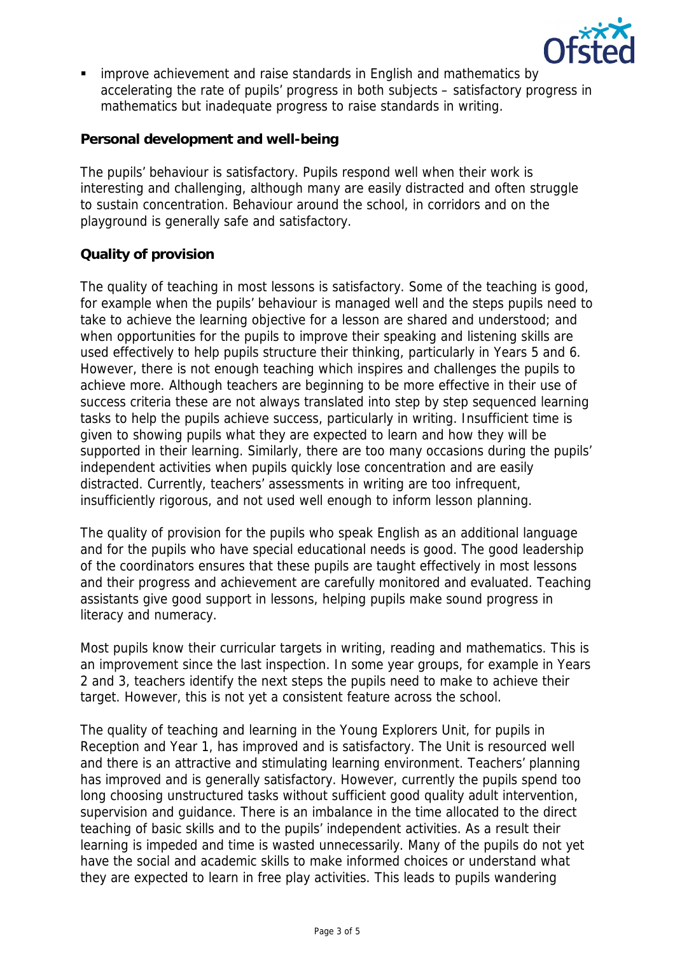

 improve achievement and raise standards in English and mathematics by accelerating the rate of pupils' progress in both subjects – satisfactory progress in mathematics but inadequate progress to raise standards in writing.

**Personal development and well-being**

The pupils' behaviour is satisfactory. Pupils respond well when their work is interesting and challenging, although many are easily distracted and often struggle to sustain concentration. Behaviour around the school, in corridors and on the playground is generally safe and satisfactory.

# **Quality of provision**

The quality of teaching in most lessons is satisfactory. Some of the teaching is good, for example when the pupils' behaviour is managed well and the steps pupils need to take to achieve the learning objective for a lesson are shared and understood; and when opportunities for the pupils to improve their speaking and listening skills are used effectively to help pupils structure their thinking, particularly in Years 5 and 6. However, there is not enough teaching which inspires and challenges the pupils to achieve more. Although teachers are beginning to be more effective in their use of success criteria these are not always translated into step by step sequenced learning tasks to help the pupils achieve success, particularly in writing. Insufficient time is given to showing pupils what they are expected to learn and how they will be supported in their learning. Similarly, there are too many occasions during the pupils' independent activities when pupils quickly lose concentration and are easily distracted. Currently, teachers' assessments in writing are too infrequent, insufficiently rigorous, and not used well enough to inform lesson planning.

The quality of provision for the pupils who speak English as an additional language and for the pupils who have special educational needs is good. The good leadership of the coordinators ensures that these pupils are taught effectively in most lessons and their progress and achievement are carefully monitored and evaluated. Teaching assistants give good support in lessons, helping pupils make sound progress in literacy and numeracy.

Most pupils know their curricular targets in writing, reading and mathematics. This is an improvement since the last inspection. In some year groups, for example in Years 2 and 3, teachers identify the next steps the pupils need to make to achieve their target. However, this is not yet a consistent feature across the school.

The quality of teaching and learning in the Young Explorers Unit, for pupils in Reception and Year 1, has improved and is satisfactory. The Unit is resourced well and there is an attractive and stimulating learning environment. Teachers' planning has improved and is generally satisfactory. However, currently the pupils spend too long choosing unstructured tasks without sufficient good quality adult intervention, supervision and guidance. There is an imbalance in the time allocated to the direct teaching of basic skills and to the pupils' independent activities. As a result their learning is impeded and time is wasted unnecessarily. Many of the pupils do not yet have the social and academic skills to make informed choices or understand what they are expected to learn in free play activities. This leads to pupils wandering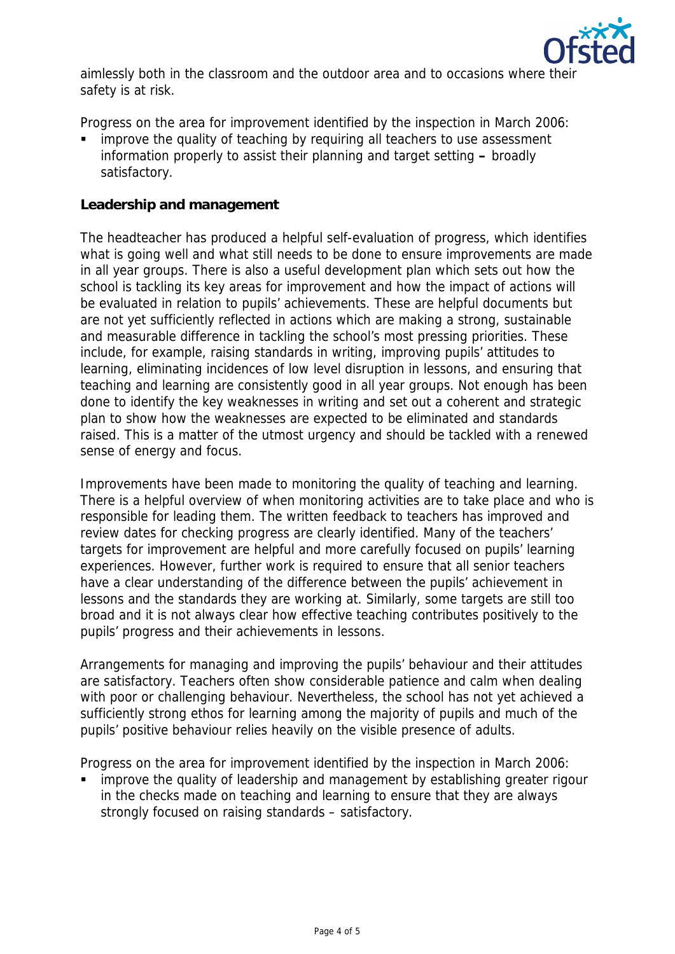

aimlessly both in the classroom and the outdoor area and to occasions where the safety is at risk.

Progress on the area for improvement identified by the inspection in March 2006:

 improve the quality of teaching by requiring all teachers to use assessment information properly to assist their planning and target setting **–** broadly satisfactory.

#### **Leadership and management**

The headteacher has produced a helpful self-evaluation of progress, which identifies what is going well and what still needs to be done to ensure improvements are made in all year groups. There is also a useful development plan which sets out how the school is tackling its key areas for improvement and how the impact of actions will be evaluated in relation to pupils' achievements. These are helpful documents but are not yet sufficiently reflected in actions which are making a strong, sustainable and measurable difference in tackling the school's most pressing priorities. These include, for example, raising standards in writing, improving pupils' attitudes to learning, eliminating incidences of low level disruption in lessons, and ensuring that teaching and learning are consistently good in all year groups. Not enough has been done to identify the key weaknesses in writing and set out a coherent and strategic plan to show how the weaknesses are expected to be eliminated and standards raised. This is a matter of the utmost urgency and should be tackled with a renewed sense of energy and focus.

Improvements have been made to monitoring the quality of teaching and learning. There is a helpful overview of when monitoring activities are to take place and who is responsible for leading them. The written feedback to teachers has improved and review dates for checking progress are clearly identified. Many of the teachers' targets for improvement are helpful and more carefully focused on pupils' learning experiences. However, further work is required to ensure that all senior teachers have a clear understanding of the difference between the pupils' achievement in lessons and the standards they are working at. Similarly, some targets are still too broad and it is not always clear how effective teaching contributes positively to the pupils' progress and their achievements in lessons.

Arrangements for managing and improving the pupils' behaviour and their attitudes are satisfactory. Teachers often show considerable patience and calm when dealing with poor or challenging behaviour. Nevertheless, the school has not yet achieved a sufficiently strong ethos for learning among the majority of pupils and much of the pupils' positive behaviour relies heavily on the visible presence of adults.

Progress on the area for improvement identified by the inspection in March 2006:

 improve the quality of leadership and management by establishing greater rigour in the checks made on teaching and learning to ensure that they are always strongly focused on raising standards – satisfactory.